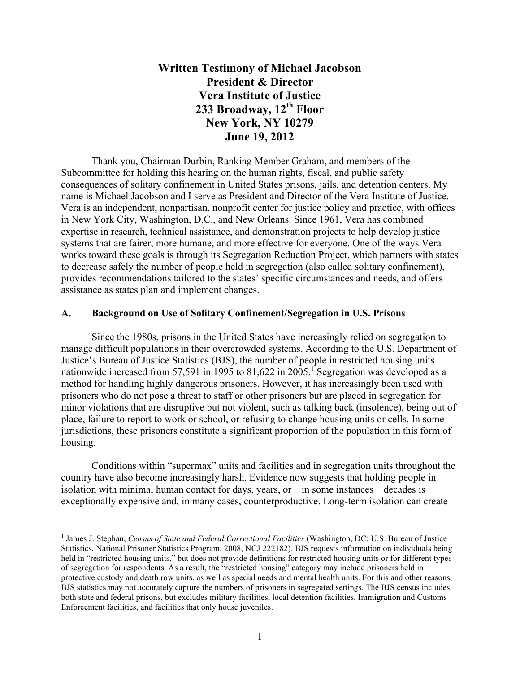# **Written Testimony of Michael Jacobson President & Director Vera Institute of Justice 233 Broadway, 12th Floor New York, NY 10279 June 19, 2012**

Thank you, Chairman Durbin, Ranking Member Graham, and members of the Subcommittee for holding this hearing on the human rights, fiscal, and public safety consequences of solitary confinement in United States prisons, jails, and detention centers. My name is Michael Jacobson and I serve as President and Director of the Vera Institute of Justice. Vera is an independent, nonpartisan, nonprofit center for justice policy and practice, with offices in New York City, Washington, D.C., and New Orleans. Since 1961, Vera has combined expertise in research, technical assistance, and demonstration projects to help develop justice systems that are fairer, more humane, and more effective for everyone. One of the ways Vera works toward these goals is through its Segregation Reduction Project, which partners with states to decrease safely the number of people held in segregation (also called solitary confinement), provides recommendations tailored to the states' specific circumstances and needs, and offers assistance as states plan and implement changes.

#### **A. Background on Use of Solitary Confinement/Segregation in U.S. Prisons**

Since the 1980s, prisons in the United States have increasingly relied on segregation to manage difficult populations in their overcrowded systems. According to the U.S. Department of Justice's Bureau of Justice Statistics (BJS), the number of people in restricted housing units nationwide increased from 57,591 in 1995 to 81,622 in 2005.<sup>1</sup> Segregation was developed as a method for handling highly dangerous prisoners. However, it has increasingly been used with prisoners who do not pose a threat to staff or other prisoners but are placed in segregation for minor violations that are disruptive but not violent, such as talking back (insolence), being out of place, failure to report to work or school, or refusing to change housing units or cells. In some jurisdictions, these prisoners constitute a significant proportion of the population in this form of housing.

Conditions within "supermax" units and facilities and in segregation units throughout the country have also become increasingly harsh. Evidence now suggests that holding people in isolation with minimal human contact for days, years, or—in some instances—decades is exceptionally expensive and, in many cases, counterproductive. Long-term isolation can create

 

<sup>&</sup>lt;sup>1</sup> James J. Stephan, *Census of State and Federal Correctional Facilities* (Washington, DC: U.S. Bureau of Justice Statistics, National Prisoner Statistics Program, 2008, NCJ 222182). BJS requests information on individuals being held in "restricted housing units," but does not provide definitions for restricted housing units or for different types of segregation for respondents. As a result, the "restricted housing" category may include prisoners held in protective custody and death row units, as well as special needs and mental health units. For this and other reasons, BJS statistics may not accurately capture the numbers of prisoners in segregated settings. The BJS census includes both state and federal prisons, but excludes military facilities, local detention facilities, Immigration and Customs Enforcement facilities, and facilities that only house juveniles.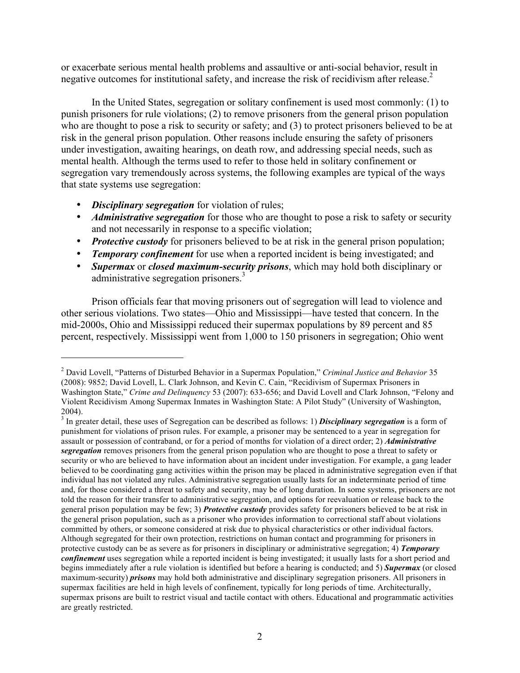or exacerbate serious mental health problems and assaultive or anti-social behavior, result in negative outcomes for institutional safety, and increase the risk of recidivism after release.<sup>2</sup>

In the United States, segregation or solitary confinement is used most commonly: (1) to punish prisoners for rule violations; (2) to remove prisoners from the general prison population who are thought to pose a risk to security or safety; and (3) to protect prisoners believed to be at risk in the general prison population. Other reasons include ensuring the safety of prisoners under investigation, awaiting hearings, on death row, and addressing special needs, such as mental health. Although the terms used to refer to those held in solitary confinement or segregation vary tremendously across systems, the following examples are typical of the ways that state systems use segregation:

• *Disciplinary segregation* for violation of rules;

 

- *Administrative segregation* for those who are thought to pose a risk to safety or security and not necessarily in response to a specific violation;
- *Protective custody* for prisoners believed to be at risk in the general prison population;
- *Temporary confinement* for use when a reported incident is being investigated; and
- *Supermax* or *closed maximum-security prisons*, which may hold both disciplinary or administrative segregation prisoners.<sup>3</sup>

Prison officials fear that moving prisoners out of segregation will lead to violence and other serious violations. Two states—Ohio and Mississippi—have tested that concern. In the mid-2000s, Ohio and Mississippi reduced their supermax populations by 89 percent and 85 percent, respectively. Mississippi went from 1,000 to 150 prisoners in segregation; Ohio went

<sup>2</sup> David Lovell, "Patterns of Disturbed Behavior in a Supermax Population," *Criminal Justice and Behavior* 35 (2008): 9852; David Lovell, L. Clark Johnson, and Kevin C. Cain, "Recidivism of Supermax Prisoners in Washington State," *Crime and Delinquency* 53 (2007): 633-656; and David Lovell and Clark Johnson, "Felony and Violent Recidivism Among Supermax Inmates in Washington State: A Pilot Study" (University of Washington, 2004).

<sup>3</sup> In greater detail, these uses of Segregation can be described as follows: 1) *Disciplinary segregation* is a form of punishment for violations of prison rules. For example, a prisoner may be sentenced to a year in segregation for assault or possession of contraband, or for a period of months for violation of a direct order; 2) *Administrative segregation* removes prisoners from the general prison population who are thought to pose a threat to safety or security or who are believed to have information about an incident under investigation. For example, a gang leader believed to be coordinating gang activities within the prison may be placed in administrative segregation even if that individual has not violated any rules. Administrative segregation usually lasts for an indeterminate period of time and, for those considered a threat to safety and security, may be of long duration. In some systems, prisoners are not told the reason for their transfer to administrative segregation, and options for reevaluation or release back to the general prison population may be few; 3) *Protective custody* provides safety for prisoners believed to be at risk in the general prison population, such as a prisoner who provides information to correctional staff about violations committed by others, or someone considered at risk due to physical characteristics or other individual factors. Although segregated for their own protection, restrictions on human contact and programming for prisoners in protective custody can be as severe as for prisoners in disciplinary or administrative segregation; 4) *Temporary confinement* uses segregation while a reported incident is being investigated; it usually lasts for a short period and begins immediately after a rule violation is identified but before a hearing is conducted; and 5) *Supermax* (or closed maximum-security) *prisons* may hold both administrative and disciplinary segregation prisoners. All prisoners in supermax facilities are held in high levels of confinement, typically for long periods of time. Architecturally, supermax prisons are built to restrict visual and tactile contact with others. Educational and programmatic activities are greatly restricted.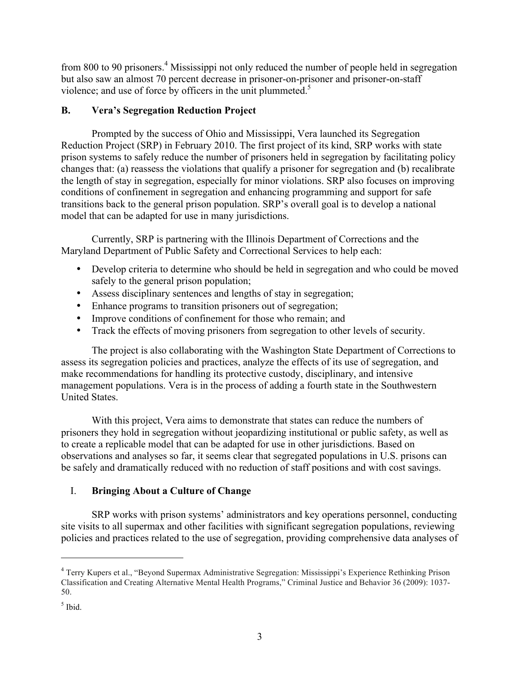from 800 to 90 prisoners.<sup>4</sup> Mississippi not only reduced the number of people held in segregation but also saw an almost 70 percent decrease in prisoner-on-prisoner and prisoner-on-staff violence; and use of force by officers in the unit plummeted.<sup>5</sup>

## **B. Vera's Segregation Reduction Project**

Prompted by the success of Ohio and Mississippi, Vera launched its Segregation Reduction Project (SRP) in February 2010. The first project of its kind, SRP works with state prison systems to safely reduce the number of prisoners held in segregation by facilitating policy changes that: (a) reassess the violations that qualify a prisoner for segregation and (b) recalibrate the length of stay in segregation, especially for minor violations. SRP also focuses on improving conditions of confinement in segregation and enhancing programming and support for safe transitions back to the general prison population. SRP's overall goal is to develop a national model that can be adapted for use in many jurisdictions.

Currently, SRP is partnering with the Illinois Department of Corrections and the Maryland Department of Public Safety and Correctional Services to help each:

- Develop criteria to determine who should be held in segregation and who could be moved safely to the general prison population;
- Assess disciplinary sentences and lengths of stay in segregation;
- Enhance programs to transition prisoners out of segregation;
- Improve conditions of confinement for those who remain; and
- Track the effects of moving prisoners from segregation to other levels of security.

The project is also collaborating with the Washington State Department of Corrections to assess its segregation policies and practices, analyze the effects of its use of segregation, and make recommendations for handling its protective custody, disciplinary, and intensive management populations. Vera is in the process of adding a fourth state in the Southwestern United States.

With this project, Vera aims to demonstrate that states can reduce the numbers of prisoners they hold in segregation without jeopardizing institutional or public safety, as well as to create a replicable model that can be adapted for use in other jurisdictions. Based on observations and analyses so far, it seems clear that segregated populations in U.S. prisons can be safely and dramatically reduced with no reduction of staff positions and with cost savings.

# I. **Bringing About a Culture of Change**

 

SRP works with prison systems' administrators and key operations personnel, conducting site visits to all supermax and other facilities with significant segregation populations, reviewing policies and practices related to the use of segregation, providing comprehensive data analyses of

<sup>4</sup> Terry Kupers et al., "Beyond Supermax Administrative Segregation: Mississippi's Experience Rethinking Prison Classification and Creating Alternative Mental Health Programs," Criminal Justice and Behavior 36 (2009): 1037- 50.

 $<sup>5</sup>$  Ibid.</sup>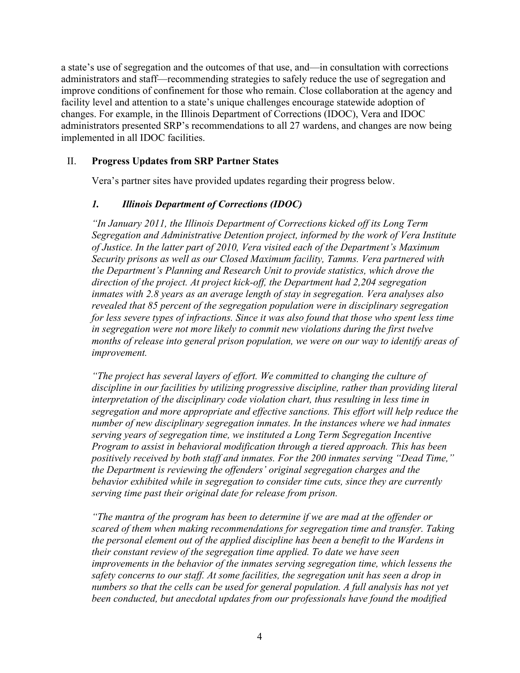a state's use of segregation and the outcomes of that use, and—in consultation with corrections administrators and staff—recommending strategies to safely reduce the use of segregation and improve conditions of confinement for those who remain. Close collaboration at the agency and facility level and attention to a state's unique challenges encourage statewide adoption of changes. For example, in the Illinois Department of Corrections (IDOC), Vera and IDOC administrators presented SRP's recommendations to all 27 wardens, and changes are now being implemented in all IDOC facilities.

#### II. **Progress Updates from SRP Partner States**

Vera's partner sites have provided updates regarding their progress below.

#### *1. Illinois Department of Corrections (IDOC)*

*"In January 2011, the Illinois Department of Corrections kicked off its Long Term Segregation and Administrative Detention project, informed by the work of Vera Institute of Justice. In the latter part of 2010, Vera visited each of the Department's Maximum Security prisons as well as our Closed Maximum facility, Tamms. Vera partnered with the Department's Planning and Research Unit to provide statistics, which drove the direction of the project. At project kick-off, the Department had 2,204 segregation inmates with 2.8 years as an average length of stay in segregation. Vera analyses also revealed that 85 percent of the segregation population were in disciplinary segregation for less severe types of infractions. Since it was also found that those who spent less time in segregation were not more likely to commit new violations during the first twelve months of release into general prison population, we were on our way to identify areas of improvement.* 

*"The project has several layers of effort. We committed to changing the culture of discipline in our facilities by utilizing progressive discipline, rather than providing literal interpretation of the disciplinary code violation chart, thus resulting in less time in segregation and more appropriate and effective sanctions. This effort will help reduce the number of new disciplinary segregation inmates. In the instances where we had inmates serving years of segregation time, we instituted a Long Term Segregation Incentive Program to assist in behavioral modification through a tiered approach. This has been positively received by both staff and inmates. For the 200 inmates serving "Dead Time," the Department is reviewing the offenders' original segregation charges and the behavior exhibited while in segregation to consider time cuts, since they are currently serving time past their original date for release from prison.* 

*"The mantra of the program has been to determine if we are mad at the offender or scared of them when making recommendations for segregation time and transfer. Taking the personal element out of the applied discipline has been a benefit to the Wardens in their constant review of the segregation time applied. To date we have seen improvements in the behavior of the inmates serving segregation time, which lessens the safety concerns to our staff. At some facilities, the segregation unit has seen a drop in numbers so that the cells can be used for general population. A full analysis has not yet been conducted, but anecdotal updates from our professionals have found the modified*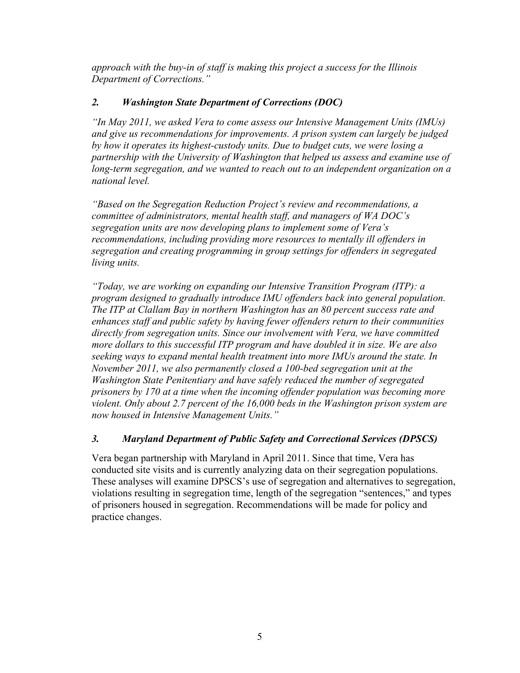*approach with the buy-in of staff is making this project a success for the Illinois Department of Corrections."* 

## *2. Washington State Department of Corrections (DOC)*

*"In May 2011, we asked Vera to come assess our Intensive Management Units (IMUs) and give us recommendations for improvements. A prison system can largely be judged by how it operates its highest-custody units. Due to budget cuts, we were losing a partnership with the University of Washington that helped us assess and examine use of long-term segregation, and we wanted to reach out to an independent organization on a national level.*

*"Based on the Segregation Reduction Project's review and recommendations, a committee of administrators, mental health staff, and managers of WA DOC's segregation units are now developing plans to implement some of Vera's recommendations, including providing more resources to mentally ill offenders in segregation and creating programming in group settings for offenders in segregated living units.* 

*"Today, we are working on expanding our Intensive Transition Program (ITP): a program designed to gradually introduce IMU offenders back into general population. The ITP at Clallam Bay in northern Washington has an 80 percent success rate and enhances staff and public safety by having fewer offenders return to their communities directly from segregation units. Since our involvement with Vera, we have committed more dollars to this successful ITP program and have doubled it in size. We are also seeking ways to expand mental health treatment into more IMUs around the state. In November 2011, we also permanently closed a 100-bed segregation unit at the Washington State Penitentiary and have safely reduced the number of segregated prisoners by 170 at a time when the incoming offender population was becoming more violent. Only about 2.7 percent of the 16,000 beds in the Washington prison system are now housed in Intensive Management Units."*

## *3. Maryland Department of Public Safety and Correctional Services (DPSCS)*

Vera began partnership with Maryland in April 2011. Since that time, Vera has conducted site visits and is currently analyzing data on their segregation populations. These analyses will examine DPSCS's use of segregation and alternatives to segregation, violations resulting in segregation time, length of the segregation "sentences," and types of prisoners housed in segregation. Recommendations will be made for policy and practice changes.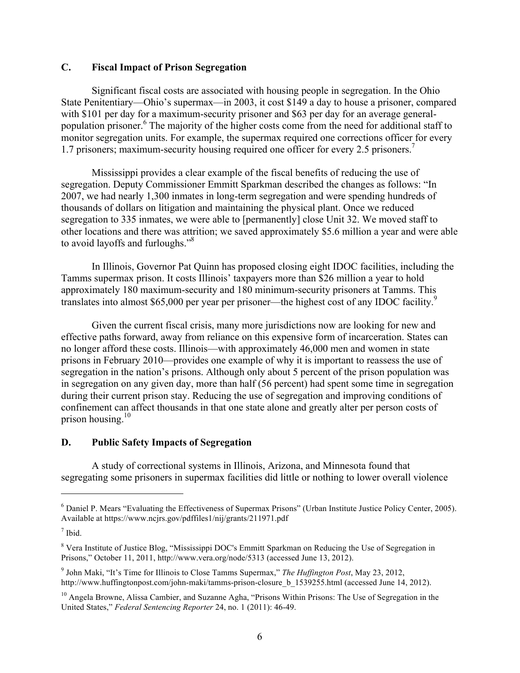### **C. Fiscal Impact of Prison Segregation**

Significant fiscal costs are associated with housing people in segregation. In the Ohio State Penitentiary—Ohio's supermax—in 2003, it cost \$149 a day to house a prisoner, compared with \$101 per day for a maximum-security prisoner and \$63 per day for an average generalpopulation prisoner.<sup>6</sup> The majority of the higher costs come from the need for additional staff to monitor segregation units. For example, the supermax required one corrections officer for every 1.7 prisoners; maximum-security housing required one officer for every 2.5 prisoners.<sup>7</sup>

Mississippi provides a clear example of the fiscal benefits of reducing the use of segregation. Deputy Commissioner Emmitt Sparkman described the changes as follows: "In 2007, we had nearly 1,300 inmates in long-term segregation and were spending hundreds of thousands of dollars on litigation and maintaining the physical plant. Once we reduced segregation to 335 inmates, we were able to [permanently] close Unit 32. We moved staff to other locations and there was attrition; we saved approximately \$5.6 million a year and were able to avoid layoffs and furloughs."<sup>8</sup>

In Illinois, Governor Pat Quinn has proposed closing eight IDOC facilities, including the Tamms supermax prison. It costs Illinois' taxpayers more than \$26 million a year to hold approximately 180 maximum-security and 180 minimum-security prisoners at Tamms. This translates into almost \$65,000 per year per prisoner—the highest cost of any IDOC facility.<sup>9</sup>

Given the current fiscal crisis, many more jurisdictions now are looking for new and effective paths forward, away from reliance on this expensive form of incarceration. States can no longer afford these costs. Illinois—with approximately 46,000 men and women in state prisons in February 2010—provides one example of why it is important to reassess the use of segregation in the nation's prisons. Although only about 5 percent of the prison population was in segregation on any given day, more than half (56 percent) had spent some time in segregation during their current prison stay. Reducing the use of segregation and improving conditions of confinement can affect thousands in that one state alone and greatly alter per person costs of prison housing. $10$ 

#### **D. Public Safety Impacts of Segregation**

 

A study of correctional systems in Illinois, Arizona, and Minnesota found that segregating some prisoners in supermax facilities did little or nothing to lower overall violence

<sup>6</sup> Daniel P. Mears "Evaluating the Effectiveness of Supermax Prisons" (Urban Institute Justice Policy Center, 2005). Available at https://www.ncjrs.gov/pdffiles1/nij/grants/211971.pdf

<sup>7</sup> Ibid.

<sup>8</sup> Vera Institute of Justice Blog, "Mississippi DOC's Emmitt Sparkman on Reducing the Use of Segregation in Prisons," October 11, 2011, http://www.vera.org/node/5313 (accessed June 13, 2012).

<sup>9</sup> John Maki, "It's Time for Illinois to Close Tamms Supermax," *The Huffington Post*, May 23, 2012, http://www.huffingtonpost.com/john-maki/tamms-prison-closure b\_1539255.html (accessed June 14, 2012).

<sup>&</sup>lt;sup>10</sup> Angela Browne, Alissa Cambier, and Suzanne Agha, "Prisons Within Prisons: The Use of Segregation in the United States," *Federal Sentencing Reporter* 24, no. 1 (2011): 46-49.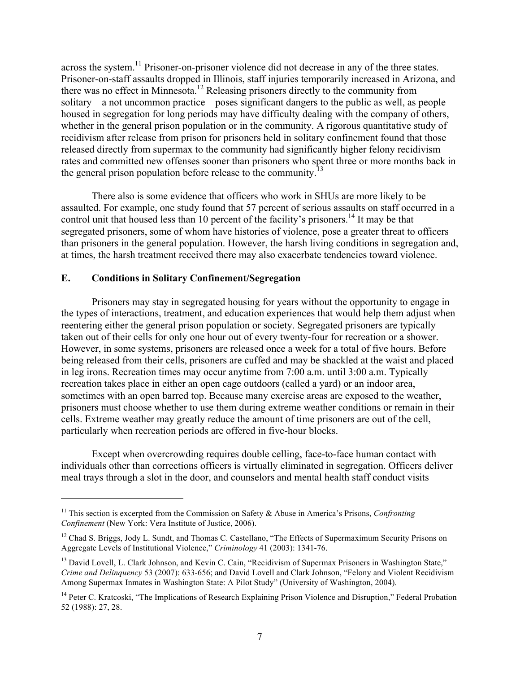across the system.<sup>11</sup> Prisoner-on-prisoner violence did not decrease in any of the three states. Prisoner-on-staff assaults dropped in Illinois, staff injuries temporarily increased in Arizona, and there was no effect in Minnesota.12 Releasing prisoners directly to the community from solitary—a not uncommon practice—poses significant dangers to the public as well, as people housed in segregation for long periods may have difficulty dealing with the company of others, whether in the general prison population or in the community. A rigorous quantitative study of recidivism after release from prison for prisoners held in solitary confinement found that those released directly from supermax to the community had significantly higher felony recidivism rates and committed new offenses sooner than prisoners who spent three or more months back in the general prison population before release to the community.<sup>13</sup>

There also is some evidence that officers who work in SHUs are more likely to be assaulted. For example, one study found that 57 percent of serious assaults on staff occurred in a control unit that housed less than 10 percent of the facility's prisoners.<sup>14</sup> It may be that segregated prisoners, some of whom have histories of violence, pose a greater threat to officers than prisoners in the general population. However, the harsh living conditions in segregation and, at times, the harsh treatment received there may also exacerbate tendencies toward violence.

#### **E. Conditions in Solitary Confinement/Segregation**

 

Prisoners may stay in segregated housing for years without the opportunity to engage in the types of interactions, treatment, and education experiences that would help them adjust when reentering either the general prison population or society. Segregated prisoners are typically taken out of their cells for only one hour out of every twenty-four for recreation or a shower. However, in some systems, prisoners are released once a week for a total of five hours. Before being released from their cells, prisoners are cuffed and may be shackled at the waist and placed in leg irons. Recreation times may occur anytime from 7:00 a.m. until 3:00 a.m. Typically recreation takes place in either an open cage outdoors (called a yard) or an indoor area, sometimes with an open barred top. Because many exercise areas are exposed to the weather, prisoners must choose whether to use them during extreme weather conditions or remain in their cells. Extreme weather may greatly reduce the amount of time prisoners are out of the cell, particularly when recreation periods are offered in five-hour blocks.

Except when overcrowding requires double celling, face-to-face human contact with individuals other than corrections officers is virtually eliminated in segregation. Officers deliver meal trays through a slot in the door, and counselors and mental health staff conduct visits

<sup>&</sup>lt;sup>11</sup> This section is excerpted from the Commission on Safety & Abuse in America's Prisons, *Confronting Confinement* (New York: Vera Institute of Justice, 2006).

<sup>&</sup>lt;sup>12</sup> Chad S. Briggs, Jody L. Sundt, and Thomas C. Castellano, "The Effects of Supermaximum Security Prisons on Aggregate Levels of Institutional Violence," *Criminology* 41 (2003): 1341-76.

<sup>&</sup>lt;sup>13</sup> David Lovell, L. Clark Johnson, and Kevin C. Cain, "Recidivism of Supermax Prisoners in Washington State," *Crime and Delinquency* 53 (2007): 633-656; and David Lovell and Clark Johnson, "Felony and Violent Recidivism Among Supermax Inmates in Washington State: A Pilot Study" (University of Washington, 2004).

<sup>&</sup>lt;sup>14</sup> Peter C. Kratcoski, "The Implications of Research Explaining Prison Violence and Disruption," Federal Probation 52 (1988): 27, 28.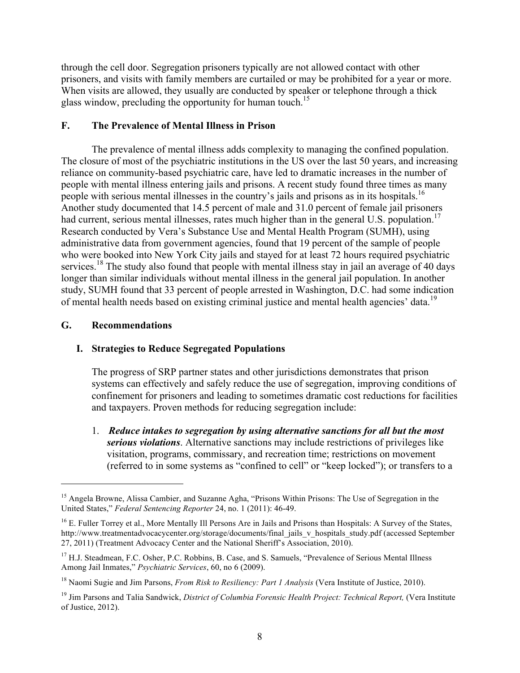through the cell door. Segregation prisoners typically are not allowed contact with other prisoners, and visits with family members are curtailed or may be prohibited for a year or more. When visits are allowed, they usually are conducted by speaker or telephone through a thick glass window, precluding the opportunity for human touch.<sup>15</sup>

### **F. The Prevalence of Mental Illness in Prison**

The prevalence of mental illness adds complexity to managing the confined population. The closure of most of the psychiatric institutions in the US over the last 50 years, and increasing reliance on community-based psychiatric care, have led to dramatic increases in the number of people with mental illness entering jails and prisons. A recent study found three times as many people with serious mental illnesses in the country's jails and prisons as in its hospitals.<sup>16</sup> Another study documented that 14.5 percent of male and 31.0 percent of female jail prisoners had current, serious mental illnesses, rates much higher than in the general U.S. population.<sup>17</sup> Research conducted by Vera's Substance Use and Mental Health Program (SUMH), using administrative data from government agencies, found that 19 percent of the sample of people who were booked into New York City jails and stayed for at least 72 hours required psychiatric services.<sup>18</sup> The study also found that people with mental illness stay in jail an average of 40 days longer than similar individuals without mental illness in the general jail population. In another study, SUMH found that 33 percent of people arrested in Washington, D.C. had some indication of mental health needs based on existing criminal justice and mental health agencies' data.<sup>19</sup>

#### **G. Recommendations**

 

### **I. Strategies to Reduce Segregated Populations**

The progress of SRP partner states and other jurisdictions demonstrates that prison systems can effectively and safely reduce the use of segregation, improving conditions of confinement for prisoners and leading to sometimes dramatic cost reductions for facilities and taxpayers. Proven methods for reducing segregation include:

1. *Reduce intakes to segregation by using alternative sanctions for all but the most serious violations*. Alternative sanctions may include restrictions of privileges like visitation, programs, commissary, and recreation time; restrictions on movement (referred to in some systems as "confined to cell" or "keep locked"); or transfers to a

<sup>&</sup>lt;sup>15</sup> Angela Browne, Alissa Cambier, and Suzanne Agha, "Prisons Within Prisons: The Use of Segregation in the United States," *Federal Sentencing Reporter* 24, no. 1 (2011): 46-49.

<sup>&</sup>lt;sup>16</sup> E. Fuller Torrey et al., More Mentally Ill Persons Are in Jails and Prisons than Hospitals: A Survey of the States, http://www.treatmentadvocacycenter.org/storage/documents/final\_jails\_v\_hospitals\_study.pdf (accessed September 27, 2011) (Treatment Advocacy Center and the National Sheriff's Association, 2010).

<sup>&</sup>lt;sup>17</sup> H.J. Steadmean, F.C. Osher, P.C. Robbins, B. Case, and S. Samuels, "Prevalence of Serious Mental Illness" Among Jail Inmates," *Psychiatric Services*, 60, no 6 (2009).

<sup>18</sup> Naomi Sugie and Jim Parsons, *From Risk to Resiliency: Part 1 Analysis* (Vera Institute of Justice, 2010).

<sup>&</sup>lt;sup>19</sup> Jim Parsons and Talia Sandwick, *District of Columbia Forensic Health Project: Technical Report*, (Vera Institute of Justice, 2012).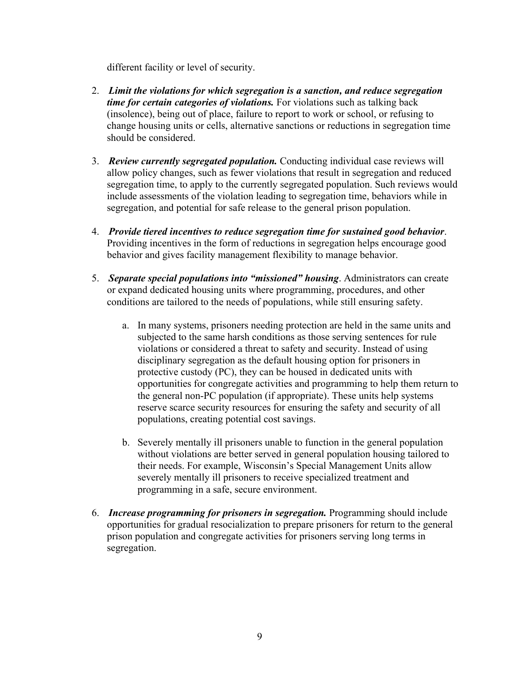different facility or level of security.

- 2. *Limit the violations for which segregation is a sanction, and reduce segregation time for certain categories of violations.* For violations such as talking back (insolence), being out of place, failure to report to work or school, or refusing to change housing units or cells, alternative sanctions or reductions in segregation time should be considered.
- 3. *Review currently segregated population.* Conducting individual case reviews will allow policy changes, such as fewer violations that result in segregation and reduced segregation time, to apply to the currently segregated population. Such reviews would include assessments of the violation leading to segregation time, behaviors while in segregation, and potential for safe release to the general prison population.
- 4. *Provide tiered incentives to reduce segregation time for sustained good behavior*. Providing incentives in the form of reductions in segregation helps encourage good behavior and gives facility management flexibility to manage behavior.
- 5. *Separate special populations into "missioned" housing*. Administrators can create or expand dedicated housing units where programming, procedures, and other conditions are tailored to the needs of populations, while still ensuring safety.
	- a.In many systems, prisoners needing protection are held in the same units and subjected to the same harsh conditions as those serving sentences for rule violations or considered a threat to safety and security. Instead of using disciplinary segregation as the default housing option for prisoners in protective custody (PC), they can be housed in dedicated units with opportunities for congregate activities and programming to help them return to the general non-PC population (if appropriate). These units help systems reserve scarce security resources for ensuring the safety and security of all populations, creating potential cost savings.
	- b. Severely mentally ill prisoners unable to function in the general population without violations are better served in general population housing tailored to their needs. For example, Wisconsin's Special Management Units allow severely mentally ill prisoners to receive specialized treatment and programming in a safe, secure environment.
- 6. *Increase programming for prisoners in segregation.* Programming should include opportunities for gradual resocialization to prepare prisoners for return to the general prison population and congregate activities for prisoners serving long terms in segregation.